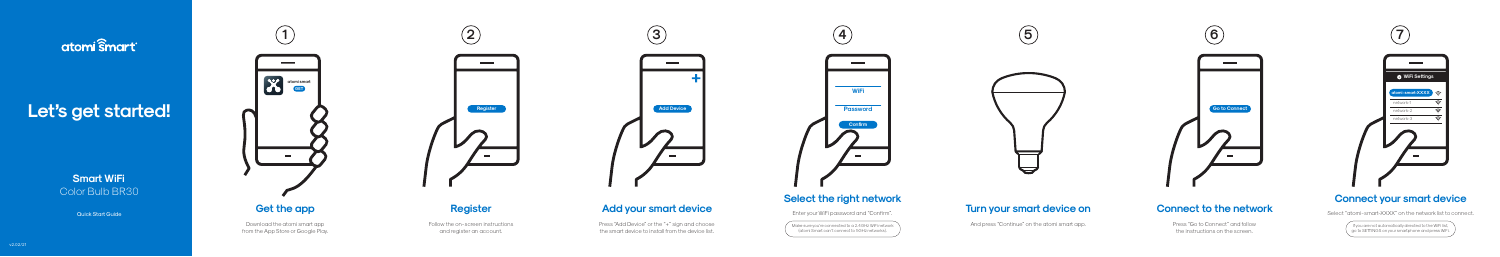# atomi smart

# Let's get started!



Download the atomi smart app from the App Store or Google Play. Press "Add Device" or the "+" sign and choose the smart device to install from the device list.



# **Add your smart device**

# **Register**

Follow the on-screen instructions and register an account.

# **Connect to the network**

Press "Go to Connect" and follow the instructions on the screen.

Make sure you're connected to a 2.4GHz WiFi network (atomi Smart can't connect to 5GHz networks).

# anick Start Guide **Cet the app and Sect on Add your smart device Add your smart device** enver the state on the state on the state of the state on the state of the state of the state of the state of the state of the state o

And press "Continue" on the atomi smart app.

**Smart WiFi** Color Bulb BR30

If you are not automatically directed to the WiFi list, go to SETTINGS on your smaphone and press WiFi.



# **Connect your smart device**

Select "atomi-smart-XXXX" on the network list to connect.







# **Select the right network**

Enter your WiFi password and "Confirm".